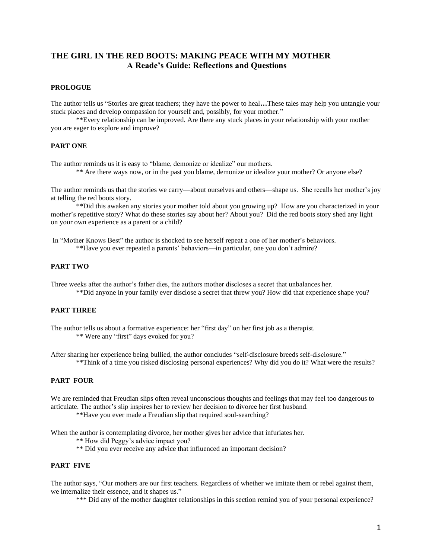# **THE GIRL IN THE RED BOOTS: MAKING PEACE WITH MY MOTHER A Reade's Guide: Reflections and Questions**

#### **PROLOGUE**

The author tells us "Stories are great teachers; they have the power to heal**…**These tales may help you untangle your stuck places and develop compassion for yourself and, possibly, for your mother."

\*\*Every relationship can be improved. Are there any stuck places in your relationship with your mother you are eager to explore and improve?

#### **PART ONE**

The author reminds us it is easy to "blame, demonize or idealize" our mothers.

\*\* Are there ways now, or in the past you blame, demonize or idealize your mother? Or anyone else?

The author reminds us that the stories we carry—about ourselves and others—shape us. She recalls her mother's joy at telling the red boots story.

\*\*Did this awaken any stories your mother told about you growing up? How are you characterized in your mother's repetitive story? What do these stories say about her? About you? Did the red boots story shed any light on your own experience as a parent or a child?

In "Mother Knows Best" the author is shocked to see herself repeat a one of her mother's behaviors. \*\*Have you ever repeated a parents' behaviors—in particular, one you don't admire?

### **PART TWO**

Three weeks after the author's father dies, the authors mother discloses a secret that unbalances her. \*\*Did anyone in your family ever disclose a secret that threw you? How did that experience shape you?

### **PART THREE**

The author tells us about a formative experience: her "first day" on her first job as a therapist. \*\* Were any "first" days evoked for you?

After sharing her experience being bullied, the author concludes "self-disclosure breeds self-disclosure." \*\*Think of a time you risked disclosing personal experiences? Why did you do it? What were the results?

### **PART FOUR**

We are reminded that Freudian slips often reveal unconscious thoughts and feelings that may feel too dangerous to articulate. The author's slip inspires her to review her decision to divorce her first husband.

\*\*Have you ever made a Freudian slip that required soul-searching?

When the author is contemplating divorce, her mother gives her advice that infuriates her.

\*\* How did Peggy's advice impact you?

\*\* Did you ever receive any advice that influenced an important decision?

# **PART FIVE**

The author says, "Our mothers are our first teachers. Regardless of whether we imitate them or rebel against them, we internalize their essence, and it shapes us."

\*\*\* Did any of the mother daughter relationships in this section remind you of your personal experience?